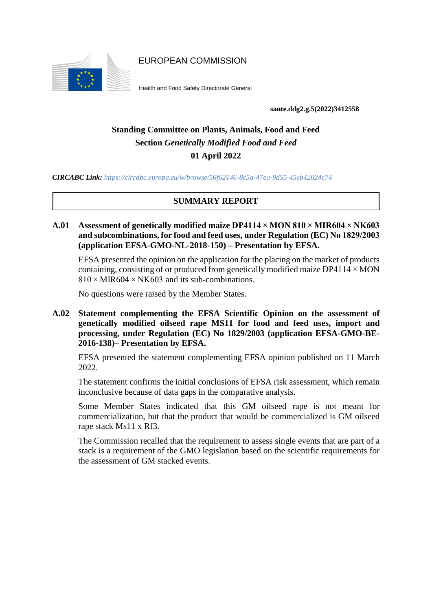

EUROPEAN COMMISSION

Health and Food Safety Directorate General

**sante.ddg2.g.5(2022)3412558**

# **Standing Committee on Plants, Animals, Food and Feed Section** *Genetically Modified Food and Feed* **01 April 2022**

*CIRCABC Link: https://circabc.europa.eu/w/browse/56f62146-8c5a-47ea-9d55-45eb42024c74*

## **SUMMARY REPORT**

**A.01 Assessment of genetically modified maize DP4114 × MON 810 × MIR604 × NK603 and subcombinations, for food and feed uses, under Regulation (EC) No 1829/2003 (application EFSA-GMO-NL-2018-150) – Presentation by EFSA.**

EFSA presented the opinion on the application for the placing on the market of products containing, consisting of or produced from genetically modified maize  $DP4114 \times MON$  $810 \times MIR604 \times NK603$  and its sub-combinations.

No questions were raised by the Member States.

**A.02 Statement complementing the EFSA Scientific Opinion on the assessment of genetically modified oilseed rape MS11 for food and feed uses, import and processing, under Regulation (EC) No 1829/2003 (application EFSA-GMO-BE-2016-138)– Presentation by EFSA.**

EFSA presented the statement complementing EFSA opinion published on 11 March 2022.

The statement confirms the initial conclusions of EFSA risk assessment, which remain inconclusive because of data gaps in the comparative analysis.

Some Member States indicated that this GM oilseed rape is not meant for commercialization, but that the product that would be commercialized is GM oilseed rape stack Ms11 x Rf3.

The Commission recalled that the requirement to assess single events that are part of a stack is a requirement of the GMO legislation based on the scientific requirements for the assessment of GM stacked events.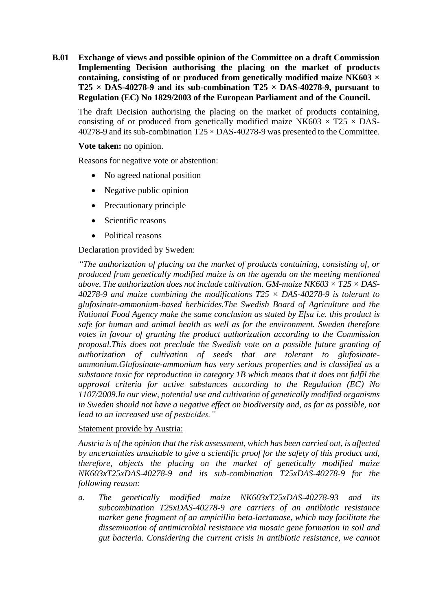**B.01 Exchange of views and possible opinion of the Committee on a draft Commission Implementing Decision authorising the placing on the market of products containing, consisting of or produced from genetically modified maize NK603 ×**  $T25 \times DAS-40278-9$  and its sub-combination  $T25 \times DAS-40278-9$ , pursuant to **Regulation (EC) No 1829/2003 of the European Parliament and of the Council.**

The draft Decision authorising the placing on the market of products containing, consisting of or produced from genetically modified maize NK603  $\times$  T25  $\times$  DAS-40278-9 and its sub-combination  $T25 \times DAS-40278-9$  was presented to the Committee.

#### **Vote taken:** no opinion.

Reasons for negative vote or abstention:

- No agreed national position
- Negative public opinion
- Precautionary principle
- Scientific reasons
- Political reasons

### Declaration provided by Sweden:

*"The authorization of placing on the market of products containing, consisting of, or produced from genetically modified maize is on the agenda on the meeting mentioned above. The authorization does not include cultivation. GM-maize NK603 × T25 × DAS-40278-9 and maize combining the modifications T25 × DAS-40278-9 is tolerant to glufosinate-ammonium-based herbicides.The Swedish Board of Agriculture and the National Food Agency make the same conclusion as stated by Efsa i.e. this product is safe for human and animal health as well as for the environment. Sweden therefore votes in favour of granting the product authorization according to the Commission proposal.This does not preclude the Swedish vote on a possible future granting of authorization of cultivation of seeds that are tolerant to glufosinateammonium.Glufosinate-ammonium has very serious properties and is classified as a substance toxic for reproduction in category 1B which means that it does not fulfil the approval criteria for active substances according to the Regulation (EC) No 1107/2009.In our view, potential use and cultivation of genetically modified organisms in Sweden should not have a negative effect on biodiversity and, as far as possible, not lead to an increased use of pesticides."*

### Statement provide by Austria:

*Austria is of the opinion that the risk assessment, which has been carried out, is affected by uncertainties unsuitable to give a scientific proof for the safety of this product and, therefore, objects the placing on the market of genetically modified maize NK603xT25xDAS-40278-9 and its sub-combination T25xDAS-40278-9 for the following reason:*

*a. The genetically modified maize NK603xT25xDAS-40278-93 and its subcombination T25xDAS-40278-9 are carriers of an antibiotic resistance marker gene fragment of an ampicillin beta-lactamase, which may facilitate the dissemination of antimicrobial resistance via mosaic gene formation in soil and gut bacteria. Considering the current crisis in antibiotic resistance, we cannot*